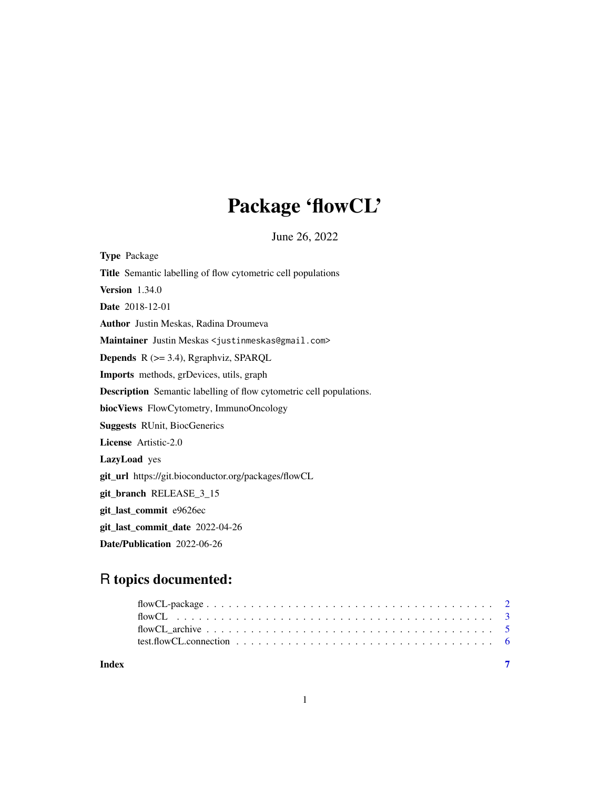# Package 'flowCL'

June 26, 2022

| <b>Type Package</b>                                                        |
|----------------------------------------------------------------------------|
| Title Semantic labelling of flow cytometric cell populations               |
| <b>Version</b> 1.34.0                                                      |
| Date 2018-12-01                                                            |
| <b>Author</b> Justin Meskas, Radina Droumeva                               |
| Maintainer Justin Meskas <justinmeskas@gmail.com></justinmeskas@gmail.com> |
| <b>Depends</b> $R$ ( $>=$ 3.4), Rgraphviz, SPARQL                          |
| <b>Imports</b> methods, grDevices, utils, graph                            |
| <b>Description</b> Semantic labelling of flow cytometric cell populations. |
| biocViews FlowCytometry, ImmunoOncology                                    |
| <b>Suggests RUnit, BiocGenerics</b>                                        |
| License Artistic-2.0                                                       |
| LazyLoad yes                                                               |
| git_url https://git.bioconductor.org/packages/flowCL                       |
| git_branch RELEASE_3_15                                                    |
| git_last_commit e9626ec                                                    |
| git_last_commit_date 2022-04-26                                            |
| Date/Publication 2022-06-26                                                |

# R topics documented:

| Index |  |
|-------|--|

1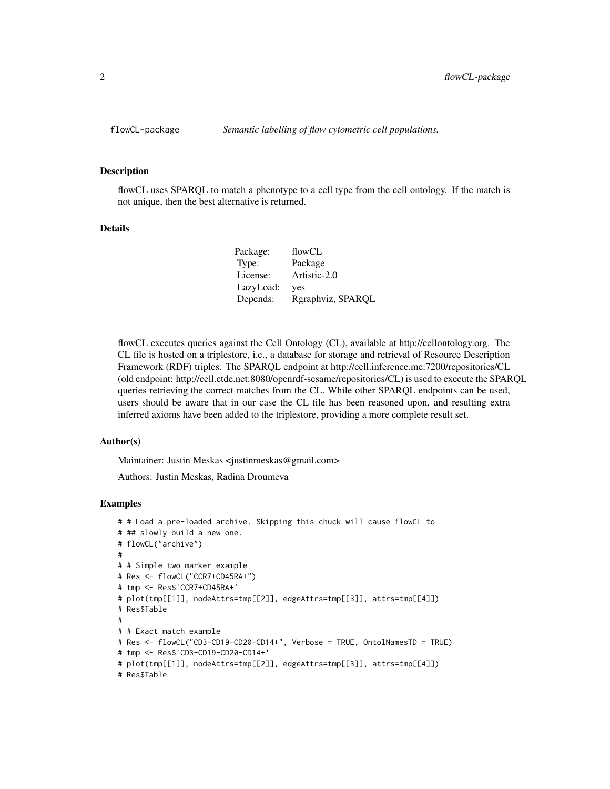#### Description

flowCL uses SPARQL to match a phenotype to a cell type from the cell ontology. If the match is not unique, then the best alternative is returned.

#### Details

| Package:  | flowCL            |
|-----------|-------------------|
| Type:     | Package           |
| License:  | Artistic-2.0      |
| LazyLoad: | yes               |
| Depends:  | Rgraphviz, SPARQL |
|           |                   |

flowCL executes queries against the Cell Ontology (CL), available at http://cellontology.org. The CL file is hosted on a triplestore, i.e., a database for storage and retrieval of Resource Description Framework (RDF) triples. The SPARQL endpoint at http://cell.inference.me:7200/repositories/CL (old endpoint: http://cell.ctde.net:8080/openrdf-sesame/repositories/CL) is used to execute the SPARQL queries retrieving the correct matches from the CL. While other SPARQL endpoints can be used, users should be aware that in our case the CL file has been reasoned upon, and resulting extra inferred axioms have been added to the triplestore, providing a more complete result set.

#### Author(s)

Maintainer: Justin Meskas <justinmeskas@gmail.com>

Authors: Justin Meskas, Radina Droumeva

#### Examples

```
# # Load a pre-loaded archive. Skipping this chuck will cause flowCL to
# ## slowly build a new one.
# flowCL("archive")
#
# # Simple two marker example
# Res <- flowCL("CCR7+CD45RA+")
# tmp <- Res$'CCR7+CD45RA+'
# plot(tmp[[1]], nodeAttrs=tmp[[2]], edgeAttrs=tmp[[3]], attrs=tmp[[4]])
# Res$Table
#
# # Exact match example
# Res <- flowCL("CD3-CD19-CD20-CD14+", Verbose = TRUE, OntolNamesTD = TRUE)
# tmp <- Res$'CD3-CD19-CD20-CD14+'
# plot(tmp[[1]], nodeAttrs=tmp[[2]], edgeAttrs=tmp[[3]], attrs=tmp[[4]])
# Res$Table
```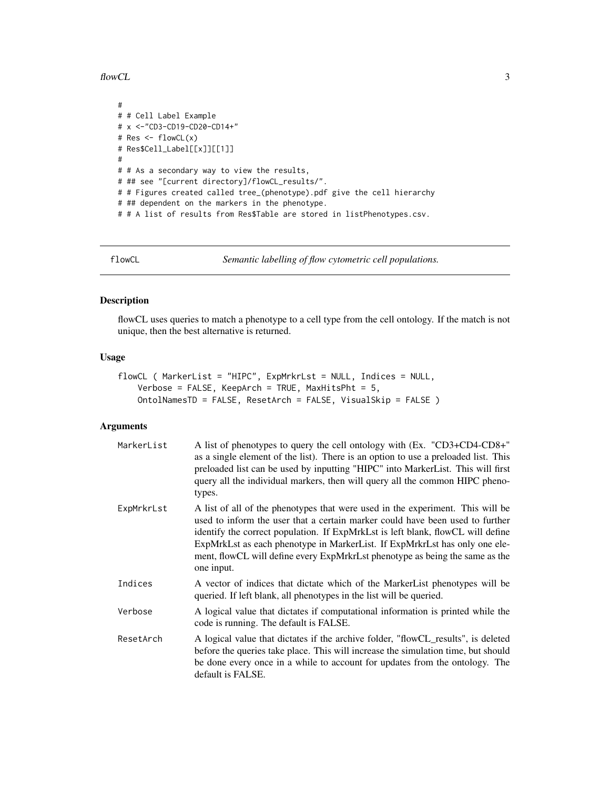<span id="page-2-0"></span> $f$ lowCL  $\frac{3}{3}$ 

```
#
# # Cell Label Example
# x <-"CD3-CD19-CD20-CD14+"
# Res <- flowCL(x)
# Res$Cell_Label[[x]][[1]]
#
# # As a secondary way to view the results,
# ## see "[current directory]/flowCL_results/".
# # Figures created called tree_(phenotype).pdf give the cell hierarchy
# ## dependent on the markers in the phenotype.
# # A list of results from Res$Table are stored in listPhenotypes.csv.
```
flowCL *Semantic labelling of flow cytometric cell populations.*

# Description

flowCL uses queries to match a phenotype to a cell type from the cell ontology. If the match is not unique, then the best alternative is returned.

#### Usage

```
flowCL ( MarkerList = "HIPC", ExpMrkrLst = NULL, Indices = NULL,
   Verbose = FALSE, KeepArch = TRUE, MaxHitsPht = 5,
   OntolNamesTD = FALSE, ResetArch = FALSE, VisualSkip = FALSE )
```
# Arguments

| MarkerList | A list of phenotypes to query the cell ontology with (Ex. "CD3+CD4-CD8+"<br>as a single element of the list). There is an option to use a preloaded list. This<br>preloaded list can be used by inputting "HIPC" into MarkerList. This will first<br>query all the individual markers, then will query all the common HIPC pheno-<br>types.                                                                                    |
|------------|--------------------------------------------------------------------------------------------------------------------------------------------------------------------------------------------------------------------------------------------------------------------------------------------------------------------------------------------------------------------------------------------------------------------------------|
| ExpMrkrLst | A list of all of the phenotypes that were used in the experiment. This will be<br>used to inform the user that a certain marker could have been used to further<br>identify the correct population. If ExpMrkLst is left blank, flowCL will define<br>ExpMrkLst as each phenotype in MarkerList. If ExpMrkrLst has only one ele-<br>ment, flowCL will define every ExpMrkrLst phenotype as being the same as the<br>one input. |
| Indices    | A vector of indices that dictate which of the MarkerList phenotypes will be<br>queried. If left blank, all phenotypes in the list will be queried.                                                                                                                                                                                                                                                                             |
| Verbose    | A logical value that dictates if computational information is printed while the<br>code is running. The default is FALSE.                                                                                                                                                                                                                                                                                                      |
| ResetArch  | A logical value that dictates if the archive folder, "flowCL_results", is deleted<br>before the queries take place. This will increase the simulation time, but should<br>be done every once in a while to account for updates from the ontology. The<br>default is FALSE.                                                                                                                                                     |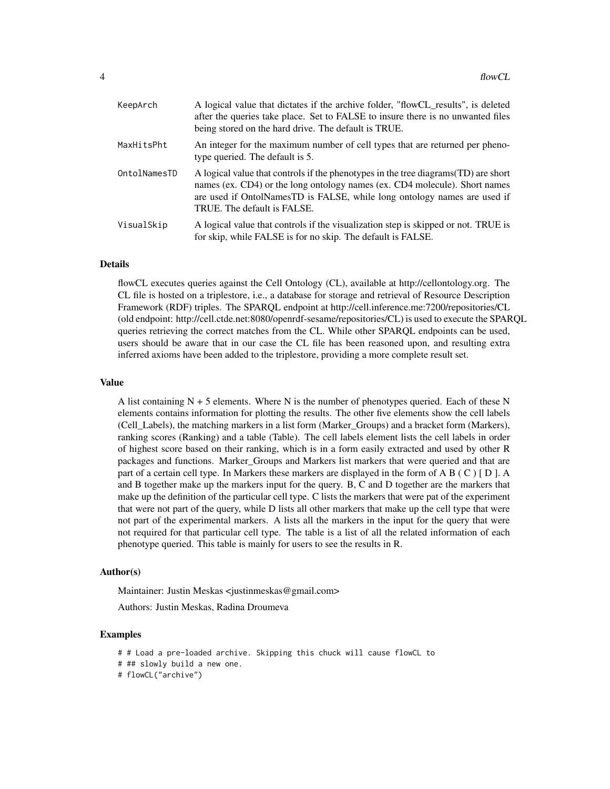| KeepArch     | A logical value that dictates if the archive folder, "flowCL_results", is deleted<br>after the queries take place. Set to FALSE to insure there is no unwanted files<br>being stored on the hard drive. The default is TRUE.                                                 |
|--------------|------------------------------------------------------------------------------------------------------------------------------------------------------------------------------------------------------------------------------------------------------------------------------|
| MaxHitsPht   | An integer for the maximum number of cell types that are returned per pheno-<br>type queried. The default is 5.                                                                                                                                                              |
| OntolNamesTD | A logical value that controls if the phenotypes in the tree diagrams (TD) are short<br>names (ex. CD4) or the long ontology names (ex. CD4 molecule). Short names<br>are used if OntolNamesTD is FALSE, while long ontology names are used if<br>TRUE. The default is FALSE. |
| VisualSkip   | A logical value that controls if the visualization step is skipped or not. TRUE is<br>for skip, while FALSE is for no skip. The default is FALSE.                                                                                                                            |

### Details

flowCL executes queries against the Cell Ontology (CL), available at http://cellontology.org. The CL file is hosted on a triplestore, i.e., a database for storage and retrieval of Resource Description Framework (RDF) triples. The SPARQL endpoint at http://cell.inference.me:7200/repositories/CL (old endpoint: http://cell.ctde.net:8080/openrdf-sesame/repositories/CL) is used to execute the SPARQL queries retrieving the correct matches from the CL. While other SPARQL endpoints can be used, users should be aware that in our case the CL file has been reasoned upon, and resulting extra inferred axioms have been added to the triplestore, providing a more complete result set.

#### Value

A list containing  $N + 5$  elements. Where N is the number of phenotypes queried. Each of these N elements contains information for plotting the results. The other five elements show the cell labels (Cell\_Labels), the matching markers in a list form (Marker\_Groups) and a bracket form (Markers), ranking scores (Ranking) and a table (Table). The cell labels element lists the cell labels in order of highest score based on their ranking, which is in a form easily extracted and used by other R packages and functions. Marker\_Groups and Markers list markers that were queried and that are part of a certain cell type. In Markers these markers are displayed in the form of A B ( C ) [ D ]. A and B together make up the markers input for the query. B, C and D together are the markers that make up the definition of the particular cell type. C lists the markers that were pat of the experiment that were not part of the query, while D lists all other markers that make up the cell type that were not part of the experimental markers. A lists all the markers in the input for the query that were not required for that particular cell type. The table is a list of all the related information of each phenotype queried. This table is mainly for users to see the results in R.

#### Author(s)

Maintainer: Justin Meskas <justinmeskas@gmail.com>

Authors: Justin Meskas, Radina Droumeva

#### Examples

- # # Load a pre-loaded archive. Skipping this chuck will cause flowCL to
- # ## slowly build a new one.

# flowCL("archive")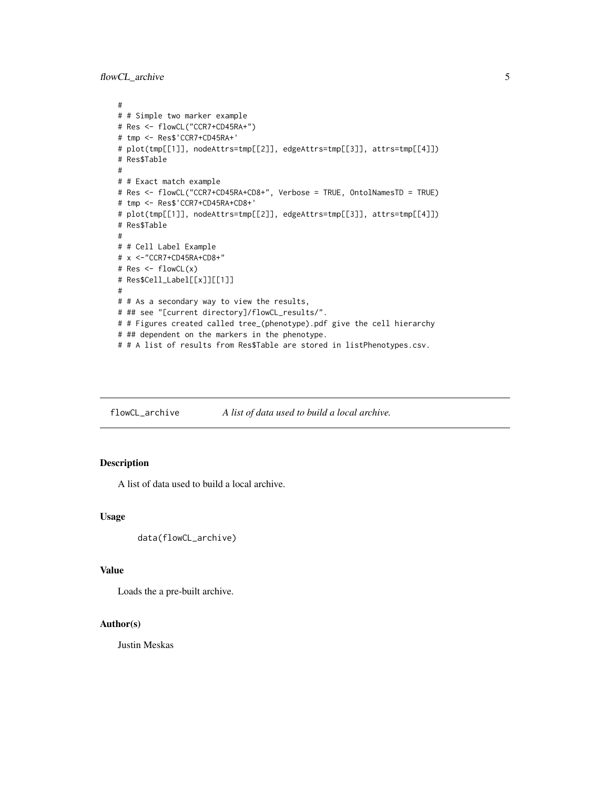<span id="page-4-0"></span>flowCL\_archive 5

```
#
# # Simple two marker example
# Res <- flowCL("CCR7+CD45RA+")
# tmp <- Res$'CCR7+CD45RA+'
# plot(tmp[[1]], nodeAttrs=tmp[[2]], edgeAttrs=tmp[[3]], attrs=tmp[[4]])
# Res$Table
#
# # Exact match example
# Res <- flowCL("CCR7+CD45RA+CD8+", Verbose = TRUE, OntolNamesTD = TRUE)
# tmp <- Res$'CCR7+CD45RA+CD8+'
# plot(tmp[[1]], nodeAttrs=tmp[[2]], edgeAttrs=tmp[[3]], attrs=tmp[[4]])
# Res$Table
#
# # Cell Label Example
# x <-"CCR7+CD45RA+CD8+"
# Res <- flowCL(x)
# Res$Cell_Label[[x]][[1]]
#
# # As a secondary way to view the results,
# ## see "[current directory]/flowCL_results/".
# # Figures created called tree_(phenotype).pdf give the cell hierarchy
# ## dependent on the markers in the phenotype.
# # A list of results from Res$Table are stored in listPhenotypes.csv.
```
flowCL\_archive *A list of data used to build a local archive.*

#### Description

A list of data used to build a local archive.

#### Usage

```
data(flowCL_archive)
```
#### Value

Loads the a pre-built archive.

# Author(s)

Justin Meskas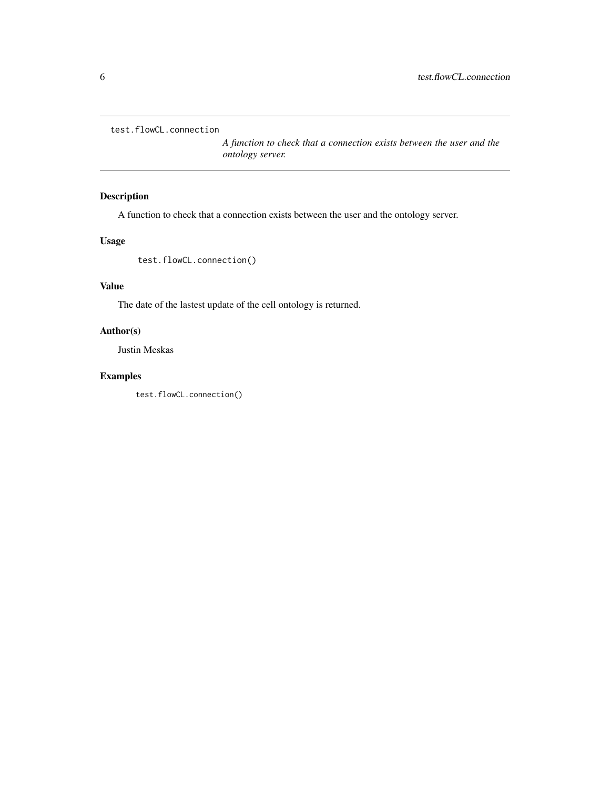<span id="page-5-0"></span>test.flowCL.connection

*A function to check that a connection exists between the user and the ontology server.*

# Description

A function to check that a connection exists between the user and the ontology server.

# Usage

test.flowCL.connection()

# Value

The date of the lastest update of the cell ontology is returned.

### Author(s)

Justin Meskas

# Examples

test.flowCL.connection()